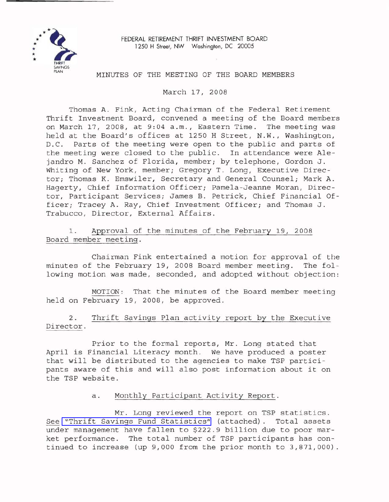

FEDERAL RETIREMENT THRIFT INVESTMENT BOARD 1250 H Street, NW Washington, DC 20005

## MINUTES OF THE MEETING OF THE BOARD MEMBERS

March 17, 2008

Thomas A. Fink, Acting Chairman of the Federal Retirement Thrift Investment Board, convened a meeting of the Board members on March 17, 2008, at 9:04 a.m., Eastern Time. The meeting was held at the Board's offices at 1250 <sup>H</sup> Street, N.W., Washington, D.C. Parts of the meeting were open to the public and parts of the meeting were closed to the public. In attendance were Alejandro M. Sanchez of Florida, member; by telephone, Gordon J. Whiting of New York, member; Gregory T. Long, Executive Director; Thomas K. Emswiler, Secretary and General Counsel; Mark A. Hagerty, Chief Information Officer; Pamela-Jeanne Moran, Director, Participant Services; James B. Petrick, Chief Financial Officer; Tracey A. Ray, Chief Investment Officer; and Thomas J. Trabucco, Director, External Affairs.

1. Approval of the minutes of the February 19, 2008 Board member meeting.

Chairman Fink entertained a motion for approval of the minutes of the February 19, 2008 Board member meeting. The following motion was made, seconded, and adopted without objection:

MOTION: That the minutes of the Board member meeting held on February 19, 2008, be approved.

2. Thrift Savings Plan activity report by the Executive Director.

Prior to the formal reports, Mr. Long stated that April is Financial Literacy month. We have produced <sup>a</sup> poster that will be distributed to the agencies to make TSP participants aware of this and will also post information about it on the TSP website.

## a. Monthly Participant Activity Report.

Mr. Long reviewed the report on TSP statistics. See "Thrift Savings Fund [Statistics"](http://www.frtib.gov/pdf/minutes/MM-2008Mar-Att1.pdf) (attached). Total assets under management have fallen to \$222.9 billion due to poor market performance. The total number of TSP participants has continued to increase (up 9,000 from the prior month to 3,871,000).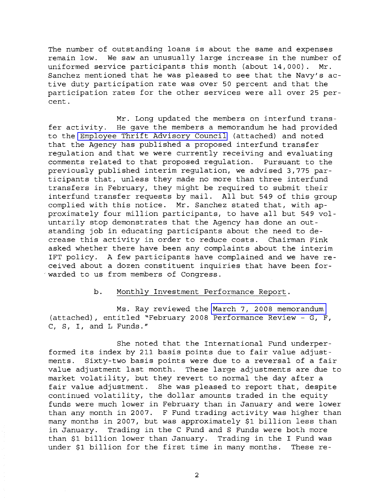The number of outstanding loans is about the same and expenses remain low. We saw an unusually large increase in the number of uniformed service participants this month (about 14,000). Mr. Sanchez mentioned that he was pleased to see that the Navy's active duty participation rate was over 50 percent and that the participation rates for the other services were all over 25 percent.

Mr. Long updated the members on interfund transfer activity. He gave the members <sup>a</sup> memorandum he had provided to the Employee Thrift [Advisory](http://www.frtib.gov/pdf/minutes/MM-2008Mar-Att2.pdf) Council (attached) and noted that the Agency has published <sup>a</sup> proposed interfund transfer regulation and that we were currently receiving and evaluating comments related to that proposed regulation. Pursuant to the previously published interim regulation, we advised 3,775 participants that, unless they made no more than three interfund transfers in February, they might be required to submit their interfund transfer requests by mail. All but 549 of this group complied with this notice. Mr. Sanchez stated that, with approximately four million participants, to have all but <sup>549</sup> voluntarily stop demonstrates that the Agency has done an outstanding job in educating participants about the need to decrease this activity in order to reduce costs. Chairman Fink asked whether there have been any complaints about the interim 1FT policy. A few participants have complained and we have received about a dozen constituent inquiries that have been for- . warded to us from members of Congress.

## b. Monthly Investment Performance Report.

Ms. Ray reviewed the March 7, 2008 [memorandum](http://www.frtib.gov/pdf/minutes/MM-2008Mar-Att3.pdf) (attached), entitled "February 2008 Performance Review - G, F, C, S, I, and L Funds."

She noted that the International Fund underperformed its index by <sup>211</sup> basis points due to fair value adjustments. Sixty-two basis points were due to <sup>a</sup> reversal of <sup>a</sup> fair value adjustment last month. These large adjustments are due to market volatility, but they revert to normal the day after <sup>a</sup> fair value adjustment. She was pleased to report that, despite continued volatility, the dollar amounts traded in the equity funds were much lower in February than in January and were lower than any month in 2007. <sup>F</sup> Fund trading activity was higher than many months in 2007, but was approximately \$1 billion less than in January. Trading in the C Fund and S Funds were both more than \$1 billion lower than January. Trading in the <sup>I</sup> Fund was under \$1 billion for the first time in many months. These re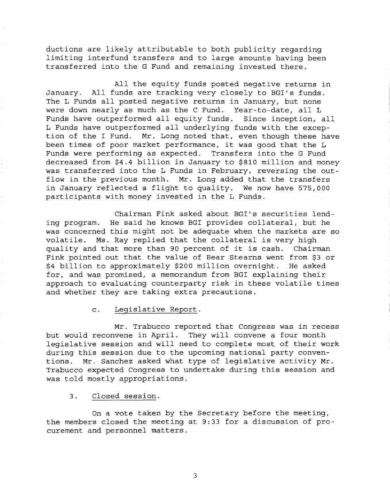ductions are likely attributable to both publicity regarding limiting interfund transfers and to large amounts having been transferred into the G Fund and remaining invested there.

All the equity funds posted negative returns in January. All funds are tracking very closely to BGI's funds. The <sup>L</sup> Funds all posted negative returns in January, but none were down nearly as much as the <sup>C</sup> Fund. Year-to-date, all <sup>L</sup> Funds have outperformed all equity funds. Since inception, all <sup>L</sup> Funds have outperformed all underlying funds with the exception of the <sup>I</sup> Fund. Mr. Long noted that, even though these have been times of poor market performance, it was good that the <sup>L</sup> Funds were performing as expected. Transfers into the G Fund decreased from \$4.4 billion in January to \$810 million and money was transferred into the L Funds in February, reversing the outflow in the previous month. Mr. Long added that the transfers in January reflected <sup>a</sup> flight to quality. We now have 575,000 participants with money invested in the L Funds.

Chairman Fink asked about BGI's securities lending program. He said he knows BGI provides collateral, but he was concerned this might not be adequate when the markets are so volatile. Ms. Ray replied that the collateral is very high quality and that more than <sup>90</sup> percent of it is cash. Chairman Fink pointed out that the value of Bear Stearns went from \$3 or \$4 billion to approximately \$200 million overnight. He asked for, and was promised, <sup>a</sup> memorandum from BGI explaining their approach to evaluating counterparty risk in these volatile times and whether they are taking extra precautions.

c. Legislative Report.

Mr. Trabucco reported that Congress was in recess but would reconvene in April. They will convene a four month legislative session and will need to complete most of their work during this session due to the upcoming national party conventions. Mr. Sanchez asked what type of legislative activity Mr. Trabucco expected Congress to undertake during this session and was told mostly appropriations.

## 3. Closed session.

On a vote taken by the Secretary before the meeting, the members closed the meeting at 9:33 for a discussion of procurement and personnel matters.